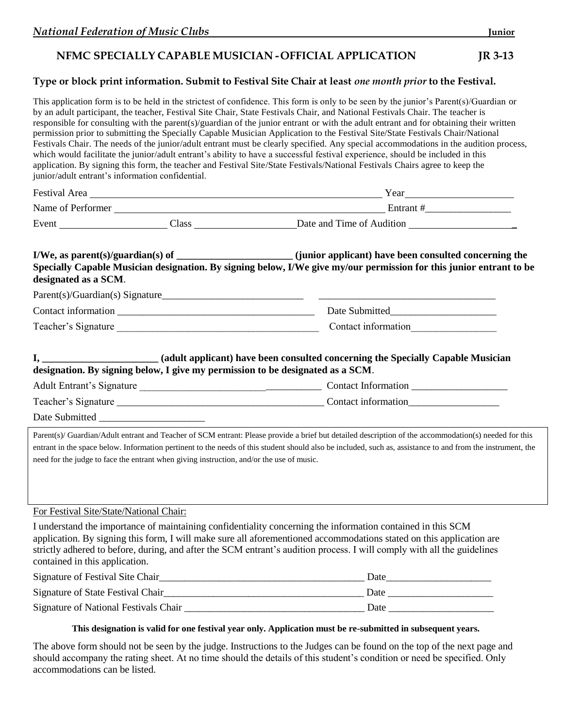# **NFMC SPECIALLY CAPABLE MUSICIAN - OFFICIAL APPLICATION JR 3-13**

## **Type or block print information. Submit to Festival Site Chair at least** *one month prior* **to the Festival.**

This application form is to be held in the strictest of confidence. This form is only to be seen by the junior's Parent(s)/Guardian or by an adult participant, the teacher, Festival Site Chair, State Festivals Chair, and National Festivals Chair. The teacher is responsible for consulting with the parent(s)/guardian of the junior entrant or with the adult entrant and for obtaining their written permission prior to submitting the Specially Capable Musician Application to the Festival Site/State Festivals Chair/National Festivals Chair. The needs of the junior/adult entrant must be clearly specified. Any special accommodations in the audition process, which would facilitate the junior/adult entrant's ability to have a successful festival experience, should be included in this application. By signing this form, the teacher and Festival Site/State Festivals/National Festivals Chairs agree to keep the junior/adult entrant's information confidential.

| Festival Area No. 1996. The Second State of the Second State of the Second State of the Second State of the Second State of the Second State of the Second State of the Second State of the Second State of the Second State o |                                                                                          | Year 2008                                                                                                                                                                                                                                                                                                                                                      |  |
|--------------------------------------------------------------------------------------------------------------------------------------------------------------------------------------------------------------------------------|------------------------------------------------------------------------------------------|----------------------------------------------------------------------------------------------------------------------------------------------------------------------------------------------------------------------------------------------------------------------------------------------------------------------------------------------------------------|--|
|                                                                                                                                                                                                                                |                                                                                          |                                                                                                                                                                                                                                                                                                                                                                |  |
|                                                                                                                                                                                                                                |                                                                                          | Event Class Class Class Date and Time of Audition                                                                                                                                                                                                                                                                                                              |  |
| designated as a SCM.                                                                                                                                                                                                           |                                                                                          | I/We, as parent(s)/guardian(s) of ________________________(junior applicant) have been consulted concerning the<br>Specially Capable Musician designation. By signing below, I/We give my/our permission for this junior entrant to be                                                                                                                         |  |
|                                                                                                                                                                                                                                |                                                                                          |                                                                                                                                                                                                                                                                                                                                                                |  |
|                                                                                                                                                                                                                                |                                                                                          |                                                                                                                                                                                                                                                                                                                                                                |  |
|                                                                                                                                                                                                                                |                                                                                          |                                                                                                                                                                                                                                                                                                                                                                |  |
|                                                                                                                                                                                                                                |                                                                                          | designation. By signing below, I give my permission to be designated as a SCM.                                                                                                                                                                                                                                                                                 |  |
|                                                                                                                                                                                                                                |                                                                                          |                                                                                                                                                                                                                                                                                                                                                                |  |
|                                                                                                                                                                                                                                |                                                                                          |                                                                                                                                                                                                                                                                                                                                                                |  |
|                                                                                                                                                                                                                                |                                                                                          |                                                                                                                                                                                                                                                                                                                                                                |  |
|                                                                                                                                                                                                                                | need for the judge to face the entrant when giving instruction, and/or the use of music. | Parent(s)/ Guardian/Adult entrant and Teacher of SCM entrant: Please provide a brief but detailed description of the accommodation(s) needed for this<br>entrant in the space below. Information pertinent to the needs of this student should also be included, such as, assistance to and from the instrument, the                                           |  |
| For Festival Site/State/National Chair:                                                                                                                                                                                        |                                                                                          |                                                                                                                                                                                                                                                                                                                                                                |  |
| contained in this application.                                                                                                                                                                                                 |                                                                                          | I understand the importance of maintaining confidentiality concerning the information contained in this SCM<br>application. By signing this form, I will make sure all aforementioned accommodations stated on this application are<br>strictly adhered to before, during, and after the SCM entrant's audition process. I will comply with all the guidelines |  |
|                                                                                                                                                                                                                                |                                                                                          |                                                                                                                                                                                                                                                                                                                                                                |  |
|                                                                                                                                                                                                                                |                                                                                          |                                                                                                                                                                                                                                                                                                                                                                |  |
|                                                                                                                                                                                                                                |                                                                                          |                                                                                                                                                                                                                                                                                                                                                                |  |

### **This designation is valid for one festival year only. Application must be re-submitted in subsequent years.**

The above form should not be seen by the judge. Instructions to the Judges can be found on the top of the next page and should accompany the rating sheet. At no time should the details of this student's condition or need be specified. Only accommodations can be listed.